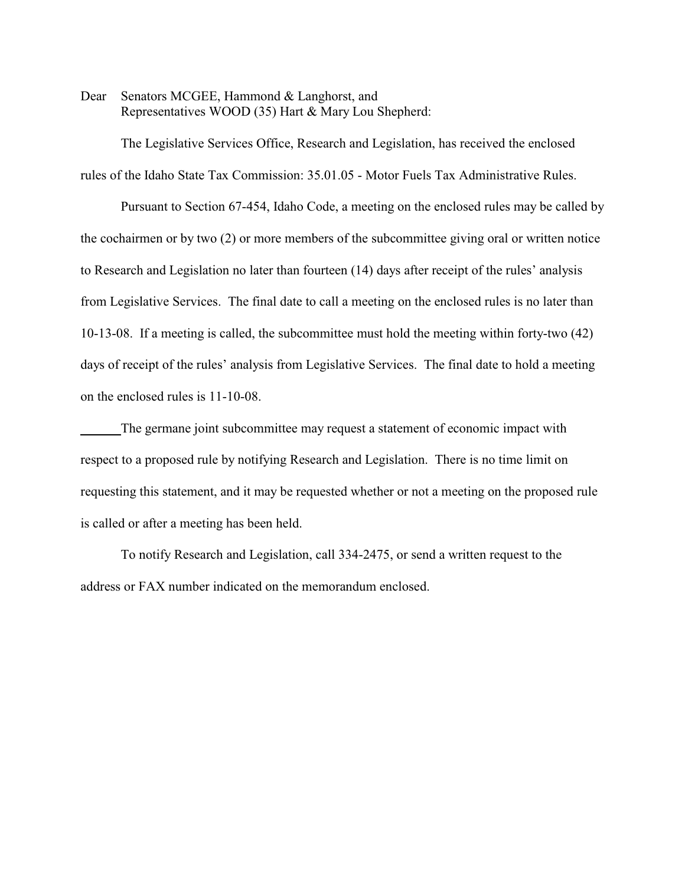Dear Senators MCGEE, Hammond & Langhorst, and Representatives WOOD (35) Hart & Mary Lou Shepherd:

The Legislative Services Office, Research and Legislation, has received the enclosed rules of the Idaho State Tax Commission: 35.01.05 - Motor Fuels Tax Administrative Rules.

Pursuant to Section 67-454, Idaho Code, a meeting on the enclosed rules may be called by the cochairmen or by two (2) or more members of the subcommittee giving oral or written notice to Research and Legislation no later than fourteen (14) days after receipt of the rules' analysis from Legislative Services. The final date to call a meeting on the enclosed rules is no later than 10-13-08. If a meeting is called, the subcommittee must hold the meeting within forty-two (42) days of receipt of the rules' analysis from Legislative Services. The final date to hold a meeting on the enclosed rules is 11-10-08.

The germane joint subcommittee may request a statement of economic impact with respect to a proposed rule by notifying Research and Legislation. There is no time limit on requesting this statement, and it may be requested whether or not a meeting on the proposed rule is called or after a meeting has been held.

To notify Research and Legislation, call 334-2475, or send a written request to the address or FAX number indicated on the memorandum enclosed.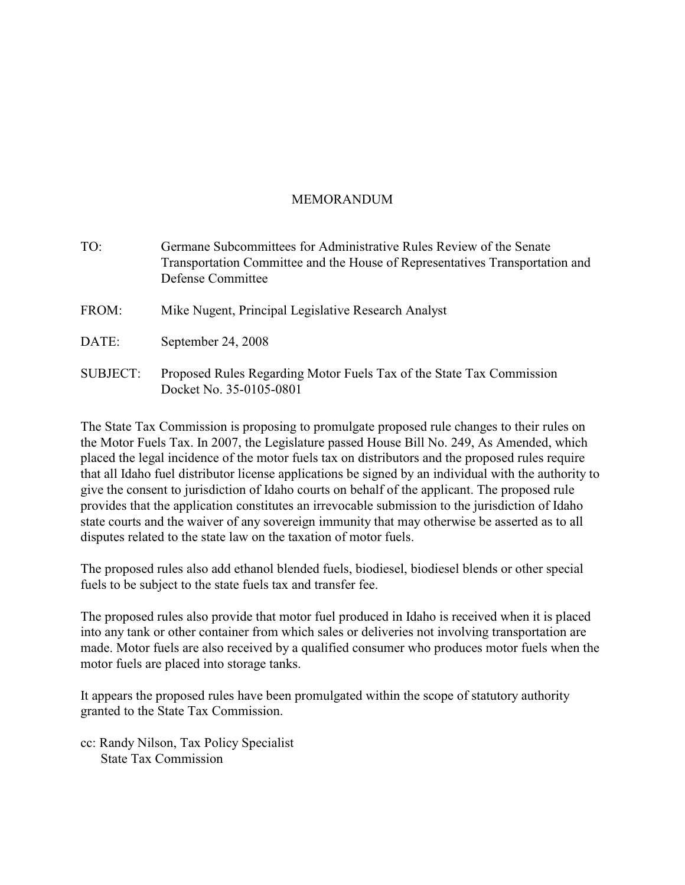# MEMORANDUM

| TO:             | Germane Subcommittees for Administrative Rules Review of the Senate<br>Transportation Committee and the House of Representatives Transportation and<br>Defense Committee |
|-----------------|--------------------------------------------------------------------------------------------------------------------------------------------------------------------------|
| FROM:           | Mike Nugent, Principal Legislative Research Analyst                                                                                                                      |
| DATE:           | September 24, 2008                                                                                                                                                       |
| <b>SUBJECT:</b> | Proposed Rules Regarding Motor Fuels Tax of the State Tax Commission<br>Docket No. 35-0105-0801                                                                          |

The State Tax Commission is proposing to promulgate proposed rule changes to their rules on the Motor Fuels Tax. In 2007, the Legislature passed House Bill No. 249, As Amended, which placed the legal incidence of the motor fuels tax on distributors and the proposed rules require that all Idaho fuel distributor license applications be signed by an individual with the authority to give the consent to jurisdiction of Idaho courts on behalf of the applicant. The proposed rule provides that the application constitutes an irrevocable submission to the jurisdiction of Idaho state courts and the waiver of any sovereign immunity that may otherwise be asserted as to all disputes related to the state law on the taxation of motor fuels.

The proposed rules also add ethanol blended fuels, biodiesel, biodiesel blends or other special fuels to be subject to the state fuels tax and transfer fee.

The proposed rules also provide that motor fuel produced in Idaho is received when it is placed into any tank or other container from which sales or deliveries not involving transportation are made. Motor fuels are also received by a qualified consumer who produces motor fuels when the motor fuels are placed into storage tanks.

It appears the proposed rules have been promulgated within the scope of statutory authority granted to the State Tax Commission.

cc: Randy Nilson, Tax Policy Specialist State Tax Commission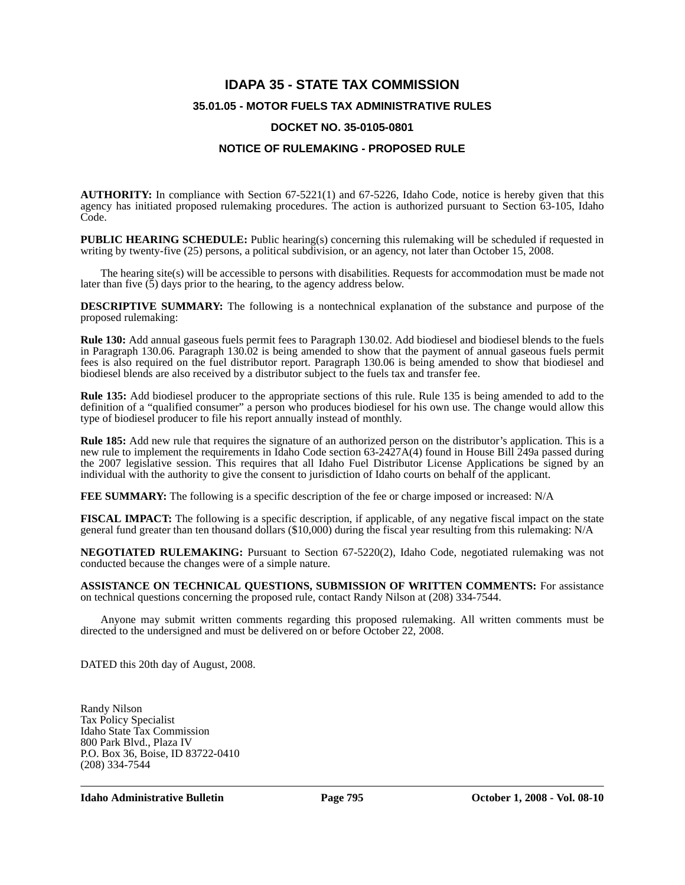# **IDAPA 35 - STATE TAX COMMISSION 35.01.05 - MOTOR FUELS TAX ADMINISTRATIVE RULES DOCKET NO. 35-0105-0801**

### **NOTICE OF RULEMAKING - PROPOSED RULE**

**AUTHORITY:** In compliance with Section 67-5221(1) and 67-5226, Idaho Code, notice is hereby given that this agency has initiated proposed rulemaking procedures. The action is authorized pursuant to Section 63-105, Idaho Code.

**PUBLIC HEARING SCHEDULE:** Public hearing(s) concerning this rulemaking will be scheduled if requested in writing by twenty-five (25) persons, a political subdivision, or an agency, not later than October 15, 2008.

The hearing site(s) will be accessible to persons with disabilities. Requests for accommodation must be made not later than five (5) days prior to the hearing, to the agency address below.

**DESCRIPTIVE SUMMARY:** The following is a nontechnical explanation of the substance and purpose of the proposed rulemaking:

**Rule 130:** Add annual gaseous fuels permit fees to Paragraph 130.02. Add biodiesel and biodiesel blends to the fuels in Paragraph 130.06. Paragraph 130.02 is being amended to show that the payment of annual gaseous fuels permit fees is also required on the fuel distributor report. Paragraph 130.06 is being amended to show that biodiesel and biodiesel blends are also received by a distributor subject to the fuels tax and transfer fee.

**Rule 135:** Add biodiesel producer to the appropriate sections of this rule. Rule 135 is being amended to add to the definition of a "qualified consumer" a person who produces biodiesel for his own use. The change would allow this type of biodiesel producer to file his report annually instead of monthly.

**Rule 185:** Add new rule that requires the signature of an authorized person on the distributor's application. This is a new rule to implement the requirements in Idaho Code section 63-2427A(4) found in House Bill 249a passed during the 2007 legislative session. This requires that all Idaho Fuel Distributor License Applications be signed by an individual with the authority to give the consent to jurisdiction of Idaho courts on behalf of the applicant.

**FEE SUMMARY:** The following is a specific description of the fee or charge imposed or increased: N/A

**FISCAL IMPACT:** The following is a specific description, if applicable, of any negative fiscal impact on the state general fund greater than ten thousand dollars (\$10,000) during the fiscal year resulting from this rulemaking: N/A

**NEGOTIATED RULEMAKING:** Pursuant to Section 67-5220(2), Idaho Code, negotiated rulemaking was not conducted because the changes were of a simple nature.

**ASSISTANCE ON TECHNICAL QUESTIONS, SUBMISSION OF WRITTEN COMMENTS:** For assistance on technical questions concerning the proposed rule, contact Randy Nilson at (208) 334-7544.

Anyone may submit written comments regarding this proposed rulemaking. All written comments must be directed to the undersigned and must be delivered on or before October 22, 2008.

DATED this 20th day of August, 2008.

Randy Nilson Tax Policy Specialist Idaho State Tax Commission 800 Park Blvd., Plaza IV P.O. Box 36, Boise, ID 83722-0410 (208) 334-7544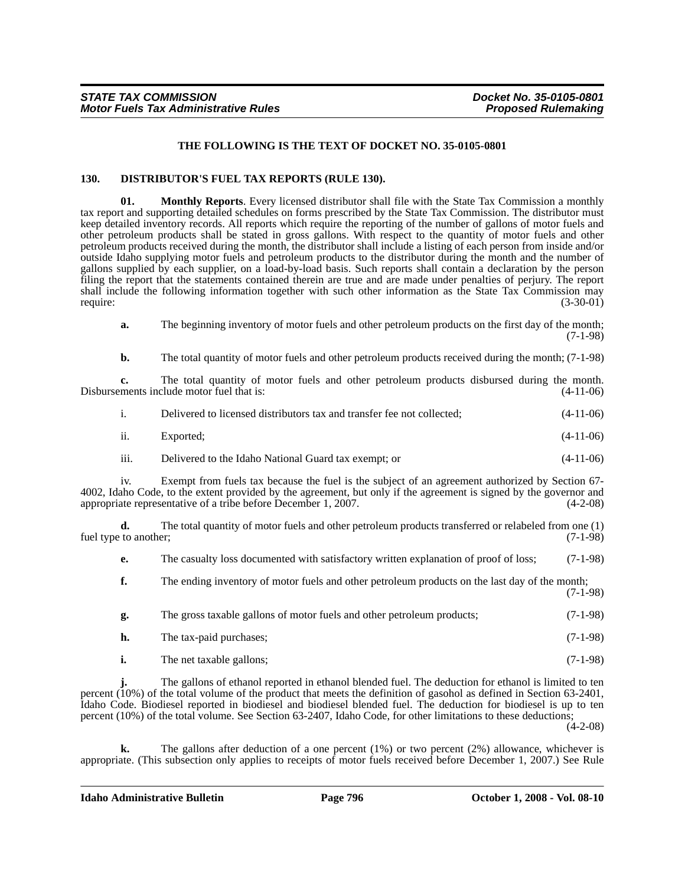#### **THE FOLLOWING IS THE TEXT OF DOCKET NO. 35-0105-0801**

#### **130. DISTRIBUTOR'S FUEL TAX REPORTS (RULE 130).**

**01. Monthly Reports**. Every licensed distributor shall file with the State Tax Commission a monthly tax report and supporting detailed schedules on forms prescribed by the State Tax Commission. The distributor must keep detailed inventory records. All reports which require the reporting of the number of gallons of motor fuels and other petroleum products shall be stated in gross gallons. With respect to the quantity of motor fuels and other petroleum products received during the month, the distributor shall include a listing of each person from inside and/or outside Idaho supplying motor fuels and petroleum products to the distributor during the month and the number of gallons supplied by each supplier, on a load-by-load basis. Such reports shall contain a declaration by the person filing the report that the statements contained therein are true and are made under penalties of perjury. The report shall include the following information together with such other information as the State Tax Commission may<br>require: (3-30-01) require: (3-30-01)

**a.** The beginning inventory of motor fuels and other petroleum products on the first day of the month; (7-1-98)

**b.** The total quantity of motor fuels and other petroleum products received during the month; (7-1-98)

**c.** The total quantity of motor fuels and other petroleum products disbursed during the month. Disbursements include motor fuel that is: (4-11-06)

|     | Delivered to licensed distributors tax and transfer fee not collected; | $(4-11-06)$ |
|-----|------------------------------------------------------------------------|-------------|
| ii. | Exported:                                                              | $(4-11-06)$ |

iii. Delivered to the Idaho National Guard tax exempt; or (4-11-06)

iv. Exempt from fuels tax because the fuel is the subject of an agreement authorized by Section 67- 4002, Idaho Code, to the extent provided by the agreement, but only if the agreement is signed by the governor and appropriate representative of a tribe before December 1, 2007. (4-2-08)

**d.** The total quantity of motor fuels and other petroleum products transferred or relabeled from one (1) to another: (7-1-98) fuel type to another;

**e.** The casualty loss documented with satisfactory written explanation of proof of loss; (7-1-98)

**f.** The ending inventory of motor fuels and other petroleum products on the last day of the month; (7-1-98)

| g. | The gross taxable gallons of motor fuels and other petroleum products; | $(7-1-98)$ |
|----|------------------------------------------------------------------------|------------|
|    | The tax-paid purchases;                                                | $(7-1-98)$ |

**i.** The net taxable gallons; (7-1-98)

**j.** The gallons of ethanol reported in ethanol blended fuel. The deduction for ethanol is limited to ten percent (10%) of the total volume of the product that meets the definition of gasohol as defined in Section 63-2401, Idaho Code. Biodiesel reported in biodiesel and biodiesel blended fuel. The deduction for biodiesel is up to ten percent (10%) of the total volume. See Section 63-2407, Idaho Code, for other limitations to these deductions;

(4-2-08)

The gallons after deduction of a one percent (1%) or two percent (2%) allowance, whichever is appropriate. (This subsection only applies to receipts of motor fuels received before December 1, 2007.) See Rule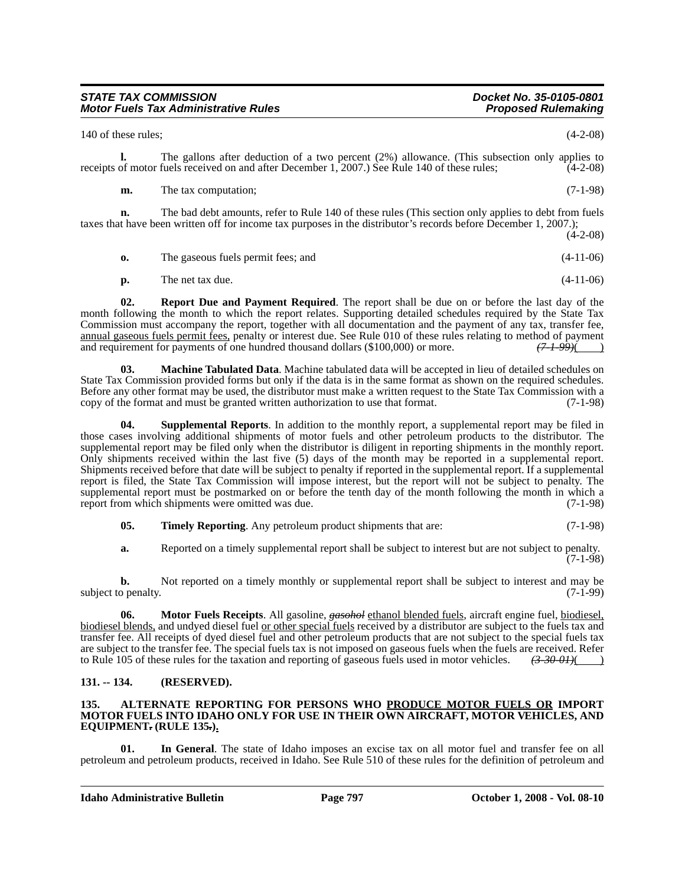| <u>UIAIL IAA UUMMUUUN</u>                   | <b>DUCKEL NU. 33-0 TUS-000 T</b> |  |  |
|---------------------------------------------|----------------------------------|--|--|
| <b>Motor Fuels Tax Administrative Rules</b> | <b>Proposed Rulemaking</b>       |  |  |
| 140 of these rules:                         | $(4-2-08)$                       |  |  |

**l.** The gallons after deduction of a two percent (2%) allowance. (This subsection only applies to receipts of motor fuels received on and after December 1, 2007.) See Rule 140 of these rules; (4-2-08)

**m.** The tax computation; (7-1-98)

**n.** The bad debt amounts, refer to Rule 140 of these rules (This section only applies to debt from fuels taxes that have been written off for income tax purposes in the distributor's records before December 1, 2007.); (4-2-08)

- **o.** The gaseous fuels permit fees; and  $(4-11-06)$
- **p.** The net tax due. (4-11-06)

**02. Report Due and Payment Required**. The report shall be due on or before the last day of the month following the month to which the report relates. Supporting detailed schedules required by the State Tax Commission must accompany the report, together with all documentation and the payment of any tax, transfer fee, annual gaseous fuels permit fees, penalty or interest due. See Rule 010 of these rules relating to method of payment and requirement for payments of one hundred thousand dollars (\$100,000) or more.  $(7, 1, 99)$ and requirement for payments of one hundred thousand dollars (\$100,000) or more.

**03. Machine Tabulated Data**. Machine tabulated data will be accepted in lieu of detailed schedules on State Tax Commission provided forms but only if the data is in the same format as shown on the required schedules. Before any other format may be used, the distributor must make a written request to the State Tax Commission with a copy of the format and must be granted written authorization to use that format. (7-1-98)

**04. Supplemental Reports**. In addition to the monthly report, a supplemental report may be filed in those cases involving additional shipments of motor fuels and other petroleum products to the distributor. The supplemental report may be filed only when the distributor is diligent in reporting shipments in the monthly report. Only shipments received within the last five (5) days of the month may be reported in a supplemental report. Shipments received before that date will be subject to penalty if reported in the supplemental report. If a supplemental report is filed, the State Tax Commission will impose interest, but the report will not be subject to penalty. The supplemental report must be postmarked on or before the tenth day of the month following the month in which a report from which shipments were omitted was due. (7-1-98)

**05. Timely Reporting**. Any petroleum product shipments that are:  $(7-1-98)$ 

**a.** Reported on a timely supplemental report shall be subject to interest but are not subject to penalty. (7-1-98)

**b.** Not reported on a timely monthly or supplemental report shall be subject to interest and may be subject to penalty. (7-1-99)

**06. Motor Fuels Receipts**. All gasoline, *gasohol* ethanol blended fuels, aircraft engine fuel, biodiesel, biodiesel blends, and undyed diesel fuel or other special fuels received by a distributor are subject to the fuels tax and transfer fee. All receipts of dyed diesel fuel and other petroleum products that are not subject to the special fuels tax are subject to the transfer fee. The special fuels tax is not imposed on gaseous fuels when the fuels are received. Refer to Rule 105 of these rules for the taxation and reporting of gaseous fuels used in motor vehicles. *(3-30-01)*( )

# **131. -- 134. (RESERVED).**

#### **135. ALTERNATE REPORTING FOR PERSONS WHO PRODUCE MOTOR FUELS OR IMPORT MOTOR FUELS INTO IDAHO ONLY FOR USE IN THEIR OWN AIRCRAFT, MOTOR VEHICLES, AND EQUIPMENT***.* **(RULE 135***.***).**

**01. In General**. The state of Idaho imposes an excise tax on all motor fuel and transfer fee on all petroleum and petroleum products, received in Idaho. See Rule 510 of these rules for the definition of petroleum and